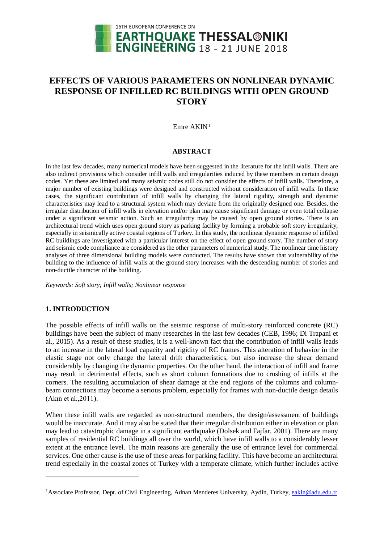

# **EFFECTS OF VARIOUS PARAMETERS ON NONLINEAR DYNAMIC RESPONSE OF INFILLED RC BUILDINGS WITH OPEN GROUND STORY**

Emre  $AKIN<sup>1</sup>$  $AKIN<sup>1</sup>$  $AKIN<sup>1</sup>$ 

#### **ABSTRACT**

In the last few decades, many numerical models have been suggested in the literature for the infill walls. There are also indirect provisions which consider infill walls and irregularities induced by these members in certain design codes. Yet these are limited and many seismic codes still do not consider the effects of infill walls. Therefore, a major number of existing buildings were designed and constructed without consideration of infill walls. In these cases, the significant contribution of infill walls by changing the lateral rigidity, strength and dynamic characteristics may lead to a structural system which may deviate from the originally designed one. Besides, the irregular distribution of infill walls in elevation and/or plan may cause significant damage or even total collapse under a significant seismic action. Such an irregularity may be caused by open ground stories. There is an architectural trend which uses open ground story as parking facility by forming a probable soft story irregularity, especially in seismically active coastal regions of Turkey. In this study, the nonlinear dynamic response of infilled RC buildings are investigated with a particular interest on the effect of open ground story. The number of story and seismic code compliance are considered as the other parameters of numerical study. The nonlinear time history analyses of three dimensional building models were conducted. The results have shown that vulnerability of the building to the influence of infill walls at the ground story increases with the descending number of stories and non-ductile character of the building.

*Keywords: Soft story; Infill walls; Nonlinear response*

# **1. INTRODUCTION**

 $\overline{a}$ 

The possible effects of infill walls on the seismic response of multi-story reinforced concrete (RC) buildings have been the subject of many researches in the last few decades (CEB, 1996; Di Trapani et al., 2015). As a result of these studies, it is a well-known fact that the contribution of infill walls leads to an increase in the lateral load capacity and rigidity of RC frames. This alteration of behavior in the elastic stage not only change the lateral drift characteristics, but also increase the shear demand considerably by changing the dynamic properties. On the other hand, the interaction of infill and frame may result in detrimental effects, such as short column formations due to crushing of infills at the corners. The resulting accumulation of shear damage at the end regions of the columns and columnbeam connections may become a serious problem, especially for frames with non-ductile design details (Akın et al.,2011).

When these infill walls are regarded as non-structural members, the design/assessment of buildings would be inaccurate. And it may also be stated that their irregular distribution either in elevation or plan may lead to catastrophic damage in a significant earthquake (Dolsek and Fajfar, 2001). There are many samples of residential RC buildings all over the world, which have infill walls to a considerably lesser extent at the entrance level. The main reasons are generally the use of entrance level for commercial services. One other cause is the use of these areas for parking facility. This have become an architectural trend especially in the coastal zones of Turkey with a temperate climate, which further includes active

<span id="page-0-0"></span><sup>&</sup>lt;sup>1</sup>Associate Professor, Dept. of Civil Engineering, Adnan Menderes University, Aydin, Turkey, [eakin@adu](mailto:eakin@ad).edu.tr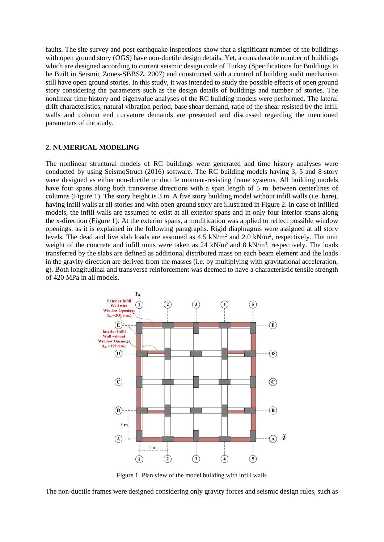faults. The site survey and post-earthquake inspections show that a significant number of the buildings with open ground story (OGS) have non-ductile design details. Yet, a considerable number of buildings which are designed according to current seismic design code of Turkey (Specifications for Buildings to be Built in Seismic Zones-SBBSZ, 2007) and constructed with a control of building audit mechanism still have open ground stories. In this study, it was intended to study the possible effects of open ground story considering the parameters such as the design details of buildings and number of stories. The nonlinear time history and eigenvalue analyses of the RC building models were performed. The lateral drift characteristics, natural vibration period, base shear demand, ratio of the shear resisted by the infill walls and column end curvature demands are presented and discussed regarding the mentioned parameters of the study.

## **2. NUMERICAL MODELING**

The nonlinear structural models of RC buildings were generated and time history analyses were conducted by using SeismoStruct (2016) software. The RC building models having 3, 5 and 8-story were designed as either non-ductile or ductile moment-resisting frame systems. All building models have four spans along both transverse directions with a span length of 5 m. between centerlines of columns (Figure 1). The story height is 3 m. A five story building model without infill walls (i.e. bare), having infill walls at all stories and with open ground story are illustrated in Figure 2. In case of infilled models, the infill walls are assumed to exist at all exterior spans and in only four interior spans along the x-direction (Figure 1). At the exterior spans, a modification was applied to reflect possible window openings, as it is explained in the following paragraphs. Rigid diaphragms were assigned at all story levels. The dead and live slab loads are assumed as  $4.5 \text{ kN/m}^2$  and  $2.0 \text{ kN/m}^2$ , respectively. The unit weight of the concrete and infill units were taken as  $24 \text{ kN/m}^3$  and  $8 \text{ kN/m}^3$ , respectively. The loads transferred by the slabs are defined as additional distributed mass on each beam element and the loads in the gravity direction are derived from the masses (i.e. by multiplying with gravitational acceleration, g). Both longitudinal and transverse reinforcement was deemed to have a characteristic tensile strength of 420 MPa in all models.



Figure 1. Plan view of the model building with infill walls

The non-ductile frames were designed considering only gravity forces and seismic design rules, such as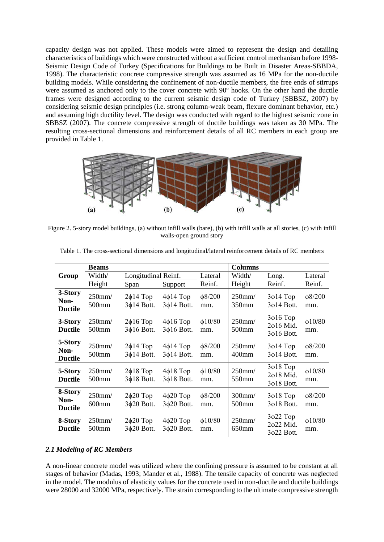capacity design was not applied. These models were aimed to represent the design and detailing characteristics of buildings which were constructed without a sufficient control mechanism before 1998- Seismic Design Code of Turkey (Specifications for Buildings to be Built in Disaster Areas-SBBDA, 1998). The characteristic concrete compressive strength was assumed as 16 MPa for the non-ductile building models. While considering the confinement of non-ductile members, the free ends of stirrups were assumed as anchored only to the cover concrete with 90º hooks. On the other hand the ductile frames were designed according to the current seismic design code of Turkey (SBBSZ, 2007) by considering seismic design principles (i.e. strong column-weak beam, flexure dominant behavior, etc.) and assuming high ductility level. The design was conducted with regard to the highest seismic zone in SBBSZ (2007). The concrete compressive strength of ductile buildings was taken as 30 MPa. The resulting cross-sectional dimensions and reinforcement details of all RC members in each group are provided in Table 1.



Figure 2. 5-story model buildings, (a) without infill walls (bare), (b) with infill walls at all stories, (c) with infill walls-open ground story

|                                   | <b>Beams</b>                      |                                    |                                    | <b>Columns</b>      |                    |                                                 |                     |
|-----------------------------------|-----------------------------------|------------------------------------|------------------------------------|---------------------|--------------------|-------------------------------------------------|---------------------|
| Group                             | Width/                            | Longitudinal Reinf.                |                                    | Lateral             | Width/             | Long.                                           | Lateral             |
|                                   | Height                            | Span                               | Support                            | Reinf.              | Height             | Reinf.                                          | Reinf.              |
| 3-Story<br>Non-<br><b>Ductile</b> | $250$ mm $/$<br>500mm             | $2\phi$ 14 Top<br>3¢14 Bott.       | $4\phi$ 14 Top<br>3¢14 Bott.       | $\phi$ 8/200<br>mm. | $250$ mm/<br>350mm | $3\phi$ 14 Top<br>3¢14 Bott.                    | $\phi$ 8/200<br>mm. |
| 3-Story<br><b>Ductile</b>         | $250$ mm/<br>500mm                | $2\phi$ 16 Top<br>$3\phi$ 16 Bott. | $4\phi$ 16 Top<br>$3\phi$ 16 Bott. | $\phi$ 10/80<br>mm. | $250$ mm/<br>500mm | $3\phi$ 16 Top<br>$2\phi$ 16 Mid.<br>3¢16 Bott. | $\phi$ 10/80<br>mm. |
| 5-Story<br>Non-<br><b>Ductile</b> | $250$ mm/<br>500 <sub>mm</sub>    | $2\phi$ 14 Top<br>3¢14 Bott.       | $4\phi$ 14 Top<br>3¢14 Bott.       | $\phi$ 8/200<br>mm. | $250$ mm/<br>400mm | $3\phi$ 14 Top<br>3¢14 Bott.                    | $\phi$ 8/200<br>mm. |
| 5-Story<br><b>Ductile</b>         | $250$ mm $/$<br>500 <sub>mm</sub> | $2\phi$ 18 Top<br>3¢18 Bott.       | $4\phi$ 18 Top<br>3¢18 Bott.       | $\phi$ 10/80<br>mm. | $250$ mm/<br>550mm | $3\phi$ 18 Top<br>$2\phi$ 18 Mid.<br>3¢18 Bott. | $\phi$ 10/80<br>mm. |
| 8-Story<br>Non-<br><b>Ductile</b> | $250$ mm/<br>$600$ mm             | $2\phi 20$ Top<br>3¢20 Bott.       | $4\phi$ 20 Top<br>3¢20 Bott.       | $\phi$ 8/200<br>mm. | 300mm/<br>500mm    | $3\phi$ 18 Top<br>3¢18 Bott.                    | $\phi$ 8/200<br>mm. |
| 8-Story<br><b>Ductile</b>         | $250$ mm $/$<br>500mm             | $2\phi 20$ Top<br>$3\phi20$ Bott.  | $4\phi$ 20 Top<br>3¢20 Bott.       | $\phi$ 10/80<br>mm. | 250mm/<br>650mm    | $3\phi$ 22 Top<br>2¢22 Mid.<br>3¢22 Bott.       | $\phi$ 10/80<br>mm. |

Table 1. The cross-sectional dimensions and longitudinal/lateral reinforcement details of RC members

#### *2.1 Modeling of RC Members*

A non-linear concrete model was utilized where the confining pressure is assumed to be constant at all stages of behavior (Madas, 1993; Mander et al., 1988). The tensile capacity of concrete was neglected in the model. The modulus of elasticity values for the concrete used in non-ductile and ductile buildings were 28000 and 32000 MPa, respectively. The strain corresponding to the ultimate compressive strength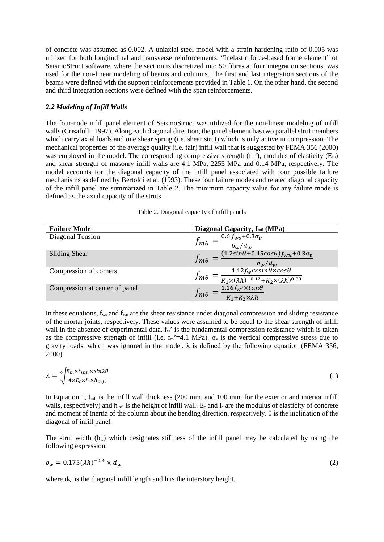of concrete was assumed as 0.002. A uniaxial steel model with a strain hardening ratio of 0.005 was utilized for both longitudinal and transverse reinforcements. "Inelastic force-based frame element" of SeismoStruct software, where the section is discretized into 50 fibres at four integration sections, was used for the non-linear modeling of beams and columns. The first and last integration sections of the beams were defined with the support reinforcements provided in Table 1. On the other hand, the second and third integration sections were defined with the span reinforcements.

#### *2.2 Modeling of Infill Walls*

The four-node infill panel element of SeismoStruct was utilized for the non-linear modeling of infill walls (Crisafulli, 1997). Along each diagonal direction, the panel element has two parallel strut members which carry axial loads and one shear spring (i.e. shear strut) which is only active in compression. The mechanical properties of the average quality (i.e. fair) infill wall that is suggested by FEMA 356 (2000) was employed in the model. The corresponding compressive strength  $(f_m')$ , modulus of elasticity  $(E_m)$ and shear strength of masonry infill walls are 4.1 MPa, 2255 MPa and 0.14 MPa, respectively. The model accounts for the diagonal capacity of the infill panel associated with four possible failure mechanisms as defined by Bertoldi et al. (1993). These four failure modes and related diagonal capacity of the infill panel are summarized in Table 2. The minimum capacity value for any failure mode is defined as the axial capacity of the struts.

| Table 2. Diagonal capacity of infill panels |  |  |  |
|---------------------------------------------|--|--|--|
|---------------------------------------------|--|--|--|

| <b>Failure Mode</b>            | Diagonal Capacity, $f_{m\theta}$ (MPa)                                                                                                         |
|--------------------------------|------------------------------------------------------------------------------------------------------------------------------------------------|
| Diagonal Tension               | 0.6 $f_{WS}$ +0.3 $\sigma_v$<br>$J m\theta$<br>$b_w/d_w$                                                                                       |
| <b>Sliding Shear</b>           | $(1.2sin\theta + 0.45cos\theta)f_{wu} + 0.3\sigma_v$<br>$J$ m $\theta$<br>$b_w/d_w$                                                            |
| Compression of corners         | $\frac{1.12 f_{W} \prime \times sin\theta \times cos\theta}{K_1 \times (\lambda h)^{-0.12} + K_2 \times (\lambda h)^{0.88}}$<br>$J$ m $\theta$ |
| Compression at center of panel | $1.16 fw$ / $\times tan\theta$<br>I m 6<br>$K_1 + K_2 \times \lambda h$                                                                        |

In these equations, f<sub>ws</sub> and f<sub>wu</sub> are the shear resistance under diagonal compression and sliding resistance of the mortar joints, respectively. These values were assumed to be equal to the shear strength of infill wall in the absence of experimental data.  $f_w$  is the fundamental compression resistance which is taken as the compressive strength of infill (i.e.  $f_m' = 4.1$  MPa).  $\sigma_v$  is the vertical compressive stress due to gravity loads, which was ignored in the model.  $\lambda$  is defined by the following equation (FEMA 356, 2000).

$$
\lambda = \sqrt[4]{\frac{E_m \times t_{inf} \times \sin 2\theta}{4 \times E_c \times I_c \times h_{inf.}}} \tag{1}
$$

In Equation 1, t<sub>inf.</sub> is the infill wall thickness (200 mm. and 100 mm. for the exterior and interior infill walls, respectively) and  $h_{\text{inf}}$  is the height of infill wall.  $E_c$  and  $I_c$  are the modulus of elasticity of concrete and moment of inertia of the column about the bending direction, respectively. θ is the inclination of the diagonal of infill panel.

The strut width  $(b_w)$  which designates stiffness of the infill panel may be calculated by using the following expression.

$$
b_w = 0.175(\lambda h)^{-0.4} \times d_w \tag{2}
$$

where  $d_{w}$  is the diagonal infill length and h is the interstory height.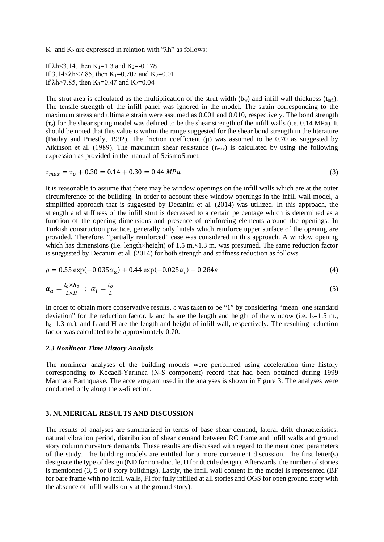K<sub>1</sub> and K<sub>2</sub> are expressed in relation with " $\lambda$ h" as follows:

If  $\lambda$ h<3.14, then K<sub>1</sub>=1.3 and K<sub>2</sub>=-0.178 If  $3.14 \le \lambda h \le 7.85$ , then K<sub>1</sub>=0.707 and K<sub>2</sub>=0.01 If  $\lambda$ h>7.85, then K<sub>1</sub>=0.47 and K<sub>2</sub>=0.04

The strut area is calculated as the multiplication of the strut width  $(b_w)$  and infill wall thickness ( $t_{\text{inf}}$ ). The tensile strength of the infill panel was ignored in the model. The strain corresponding to the maximum stress and ultimate strain were assumed as 0.001 and 0.010, respectively. The bond strength  $(\tau_0)$  for the shear spring model was defined to be the shear strength of the infill walls (i.e. 0.14 MPa). It should be noted that this value is within the range suggested for the shear bond strength in the literature (Paulay and Priestly, 1992). The friction coefficient (μ) was assumed to be 0.70 as suggested by Atkinson et al. (1989). The maximum shear resistance ( $\tau_{\text{max}}$ ) is calculated by using the following expression as provided in the manual of SeismoStruct.

$$
\tau_{max} = \tau_o + 0.30 = 0.14 + 0.30 = 0.44 \, MPa \tag{3}
$$

It is reasonable to assume that there may be window openings on the infill walls which are at the outer circumference of the building. In order to account these window openings in the infill wall model, a simplified approach that is suggested by Decanini et al. (2014) was utilized. In this approach, the strength and stiffness of the infill strut is decreased to a certain percentage which is determined as a function of the opening dimensions and presence of reinforcing elements around the openings. In Turkish construction practice, generally only lintels which reinforce upper surface of the opening are provided. Therefore, "partially reinforced" case was considered in this approach. A window opening which has dimensions (i.e. length×height) of 1.5 m. $\times$ 1.3 m. was presumed. The same reduction factor is suggested by Decanini et al. (2014) for both strength and stiffness reduction as follows.

$$
\rho = 0.55 \exp(-0.035 \alpha_a) + 0.44 \exp(-0.025 \alpha_l) \mp 0.284 \varepsilon \tag{4}
$$

$$
\alpha_a = \frac{l_o \times h_o}{L \times H} \; ; \; \alpha_l = \frac{l_o}{L} \tag{5}
$$

In order to obtain more conservative results, ε was taken to be "1" by considering "mean+one standard deviation" for the reduction factor.  $l_0$  and  $h_0$  are the length and height of the window (i.e.  $l_0=1.5$  m.,  $h<sub>o</sub>=1.3$  m.), and L and H are the length and height of infill wall, respectively. The resulting reduction factor was calculated to be approximately 0.70.

## *2.3 Nonlinear Time History Analysis*

The nonlinear analyses of the building models were performed using acceleration time history corresponding to Kocaeli-Yarımca (N-S component) record that had been obtained during 1999 Marmara Earthquake. The accelerogram used in the analyses is shown in Figure 3. The analyses were conducted only along the x-direction.

## **3. NUMERICAL RESULTS AND DISCUSSION**

The results of analyses are summarized in terms of base shear demand, lateral drift characteristics, natural vibration period, distribution of shear demand between RC frame and infill walls and ground story column curvature demands. These results are discussed with regard to the mentioned parameters of the study. The building models are entitled for a more convenient discussion. The first letter(s) designate the type of design (ND for non-ductile, D for ductile design). Afterwards, the number of stories is mentioned (3, 5 or 8 story buildings). Lastly, the infill wall content in the model is represented (BF for bare frame with no infill walls, FI for fully infilled at all stories and OGS for open ground story with the absence of infill walls only at the ground story).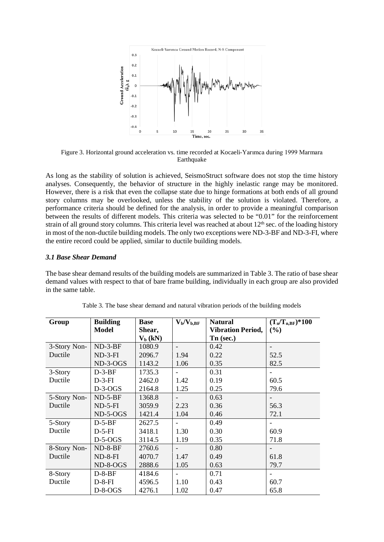

Figure 3. Horizontal ground acceleration vs. time recorded at Kocaeli-Yarımca during 1999 Marmara Earthquake

As long as the stability of solution is achieved, SeismoStruct software does not stop the time history analyses. Consequently, the behavior of structure in the highly inelastic range may be monitored. However, there is a risk that even the collapse state due to hinge formations at both ends of all ground story columns may be overlooked, unless the stability of the solution is violated. Therefore, a performance criteria should be defined for the analysis, in order to provide a meaningful comparison between the results of different models. This criteria was selected to be "0.01" for the reinforcement strain of all ground story columns. This criteria level was reached at about  $12<sup>th</sup>$  sec. of the loading history in most of the non-ductile building models. The only two exceptions were ND-3-BF and ND-3-FI, where the entire record could be applied, similar to ductile building models.

#### *3.1 Base Shear Demand*

The base shear demand results of the building models are summarized in Table 3. The ratio of base shear demand values with respect to that of bare frame building, individually in each group are also provided in the same table.

| Group        | <b>Building</b> | <b>Base</b> | $\rm V_b/V_{b,BF}$ | <b>Natural</b>           | $(T_n/T_{n,BF})^*100$ |
|--------------|-----------------|-------------|--------------------|--------------------------|-----------------------|
|              | <b>Model</b>    | Shear,      |                    | <b>Vibration Period,</b> | (%)                   |
|              |                 | $V_b$ (kN)  |                    | Tn (sec.)                |                       |
| 3-Story Non- | $ND-3-BF$       | 1080.9      |                    | 0.42                     |                       |
| Ductile      | $ND-3-FI$       | 2096.7      | 1.94               | 0.22                     | 52.5                  |
|              | $ND-3-OGS$      | 1143.2      | 1.06               | 0.35                     | 82.5                  |
| 3-Story      | $D-3-BF$        | 1735.3      |                    | 0.31                     |                       |
| Ductile      | $D-3-FI$        | 2462.0      | 1.42               | 0.19                     | 60.5                  |
|              | $D-3-OGS$       | 2164.8      | 1.25               | 0.25                     | 79.6                  |
| 5-Story Non- | $ND-5-BF$       | 1368.8      |                    | 0.63                     |                       |
| Ductile      | $ND-5-FI$       | 3059.9      | 2.23               | 0.36                     | 56.3                  |
|              | $ND-5-OGS$      | 1421.4      | 1.04               | 0.46                     | 72.1                  |
| 5-Story      | $D-5-BF$        | 2627.5      |                    | 0.49                     |                       |
| Ductile      | $D-5-FI$        | 3418.1      | 1.30               | 0.30                     | 60.9                  |
|              | $D-5-OGS$       | 3114.5      | 1.19               | 0.35                     | 71.8                  |
| 8-Story Non- | $ND-8-BF$       | 2760.6      |                    | 0.80                     |                       |
| Ductile      | $ND-8-FI$       | 4070.7      | 1.47               | 0.49                     | 61.8                  |
|              | ND-8-OGS        | 2888.6      | 1.05               | 0.63                     | 79.7                  |
| 8-Story      | $D-8-BF$        | 4184.6      |                    | 0.71                     |                       |
| Ductile      | $D-8-FI$        | 4596.5      | 1.10               | 0.43                     | 60.7                  |
|              | $D-8-OGS$       | 4276.1      | 1.02               | 0.47                     | 65.8                  |

Table 3. The base shear demand and natural vibration periods of the building models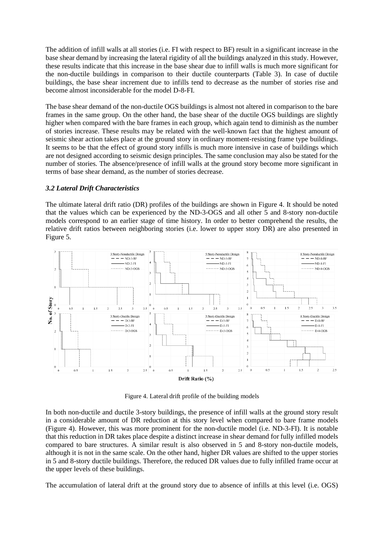The addition of infill walls at all stories (i.e. FI with respect to BF) result in a significant increase in the base shear demand by increasing the lateral rigidity of all the buildings analyzed in this study. However, these results indicate that this increase in the base shear due to infill walls is much more significant for the non-ductile buildings in comparison to their ductile counterparts (Table 3). In case of ductile buildings, the base shear increment due to infills tend to decrease as the number of stories rise and become almost inconsiderable for the model D-8-FI.

The base shear demand of the non-ductile OGS buildings is almost not altered in comparison to the bare frames in the same group. On the other hand, the base shear of the ductile OGS buildings are slightly higher when compared with the bare frames in each group, which again tend to diminish as the number of stories increase. These results may be related with the well-known fact that the highest amount of seismic shear action takes place at the ground story in ordinary moment-resisting frame type buildings. It seems to be that the effect of ground story infills is much more intensive in case of buildings which are not designed according to seismic design principles. The same conclusion may also be stated for the number of stories. The absence/presence of infill walls at the ground story become more significant in terms of base shear demand, as the number of stories decrease.

## *3.2 Lateral Drift Characteristics*

The ultimate lateral drift ratio (DR) profiles of the buildings are shown in Figure 4. It should be noted that the values which can be experienced by the ND-3-OGS and all other 5 and 8-story non-ductile models correspond to an earlier stage of time history. In order to better comprehend the results, the relative drift ratios between neighboring stories (i.e. lower to upper story DR) are also presented in Figure 5.



Figure 4. Lateral drift profile of the building models

In both non-ductile and ductile 3-story buildings, the presence of infill walls at the ground story result in a considerable amount of DR reduction at this story level when compared to bare frame models (Figure 4). However, this was more prominent for the non-ductile model (i.e. ND-3-FI). It is notable that this reduction in DR takes place despite a distinct increase in shear demand for fully infilled models compared to bare structures. A similar result is also observed in 5 and 8-story non-ductile models, although it is not in the same scale. On the other hand, higher DR values are shifted to the upper stories in 5 and 8-story ductile buildings. Therefore, the reduced DR values due to fully infilled frame occur at the upper levels of these buildings.

The accumulation of lateral drift at the ground story due to absence of infills at this level (i.e. OGS)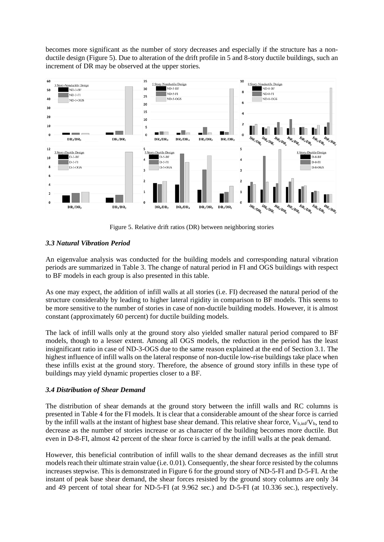becomes more significant as the number of story decreases and especially if the structure has a nonductile design (Figure 5). Due to alteration of the drift profile in 5 and 8-story ductile buildings, such an increment of DR may be observed at the upper stories.



Figure 5. Relative drift ratios (DR) between neighboring stories

# *3.3 Natural Vibration Period*

An eigenvalue analysis was conducted for the building models and corresponding natural vibration periods are summarized in Table 3. The change of natural period in FI and OGS buildings with respect to BF models in each group is also presented in this table.

As one may expect, the addition of infill walls at all stories (i.e. FI) decreased the natural period of the structure considerably by leading to higher lateral rigidity in comparison to BF models. This seems to be more sensitive to the number of stories in case of non-ductile building models. However, it is almost constant (approximately 60 percent) for ductile building models.

The lack of infill walls only at the ground story also yielded smaller natural period compared to BF models, though to a lesser extent. Among all OGS models, the reduction in the period has the least insignificant ratio in case of ND-3-OGS due to the same reason explained at the end of Section 3.1. The highest influence of infill walls on the lateral response of non-ductile low-rise buildings take place when these infills exist at the ground story. Therefore, the absence of ground story infills in these type of buildings may yield dynamic properties closer to a BF.

# *3.4 Distribution of Shear Demand*

The distribution of shear demands at the ground story between the infill walls and RC columns is presented in Table 4 for the FI models. It is clear that a considerable amount of the shear force is carried by the infill walls at the instant of highest base shear demand. This relative shear force,  $V_{\rm b,inf}/V_{\rm b}$ , tend to decrease as the number of stories increase or as character of the building becomes more ductile. But even in D-8-FI, almost 42 percent of the shear force is carried by the infill walls at the peak demand.

However, this beneficial contribution of infill walls to the shear demand decreases as the infill strut models reach their ultimate strain value (i.e. 0.01). Consequently, the shear force resisted by the columns increases stepwise. This is demonstrated in Figure 6 for the ground story of ND-5-FI and D-5-FI. At the instant of peak base shear demand, the shear forces resisted by the ground story columns are only 34 and 49 percent of total shear for ND-5-FI (at 9.962 sec.) and D-5-FI (at 10.336 sec.), respectively.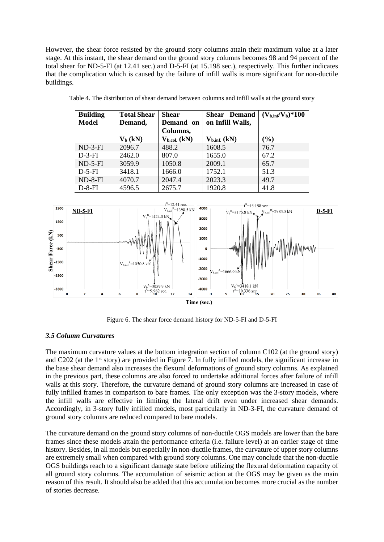However, the shear force resisted by the ground story columns attain their maximum value at a later stage. At this instant, the shear demand on the ground story columns becomes 98 and 94 percent of the total shear for ND-5-FI (at 12.41 sec.) and D-5-FI (at 15.198 sec.), respectively. This further indicates that the complication which is caused by the failure of infill walls is more significant for non-ductile buildings.

| <b>Building</b> | <b>Total Shear</b> | <b>Shear</b>       | <b>Shear</b> Demand | $(V_{b,inf}/V_b)*100$ |
|-----------------|--------------------|--------------------|---------------------|-----------------------|
| <b>Model</b>    | Demand,            | Demand on          | on Infill Walls,    |                       |
|                 |                    | Columns,           |                     |                       |
|                 | $V_b$ (kN)         | $V_{b, col.} (kN)$ | $V_{b, inf.}$ (kN)  | $\mathcal{O}_0$       |
| $ND-3-FI$       | 2096.7             | 488.2              | 1608.5              | 76.7                  |
| $D-3-FI$        | 2462.0             | 807.0              | 1655.0              | 67.2                  |
| $ND-5-FI$       | 3059.9             | 1050.8             | 2009.1              | 65.7                  |
| $D-5-FI$        | 3418.1             | 1666.0             | 1752.1              | 51.3                  |
| $ND-8-FI$       | 4070.7             | 2047.4             | 2023.3              | 49.7                  |
| $D-8-FI$        | 4596.5             | 2675.7             | 1920.8              | 41.8                  |

Table 4. The distribution of shear demand between columns and infill walls at the ground story



Figure 6. The shear force demand history for ND-5-FI and D-5-FI

# *3.5 Column Curvatures*

The maximum curvature values at the bottom integration section of column C102 (at the ground story) and C202 (at the 1st story) are provided in Figure 7. In fully infilled models, the significant increase in the base shear demand also increases the flexural deformations of ground story columns. As explained in the previous part, these columns are also forced to undertake additional forces after failure of infill walls at this story. Therefore, the curvature demand of ground story columns are increased in case of fully infilled frames in comparison to bare frames. The only exception was the 3-story models, where the infill walls are effective in limiting the lateral drift even under increased shear demands. Accordingly, in 3-story fully infilled models, most particularly in ND-3-FI, the curvature demand of ground story columns are reduced compared to bare models.

The curvature demand on the ground story columns of non-ductile OGS models are lower than the bare frames since these models attain the performance criteria (i.e. failure level) at an earlier stage of time history. Besides, in all models but especially in non-ductile frames, the curvature of upper story columns are extremely small when compared with ground story columns. One may conclude that the non-ductile OGS buildings reach to a significant damage state before utilizing the flexural deformation capacity of all ground story columns. The accumulation of seismic action at the OGS may be given as the main reason of this result. It should also be added that this accumulation becomes more crucial as the number of stories decrease.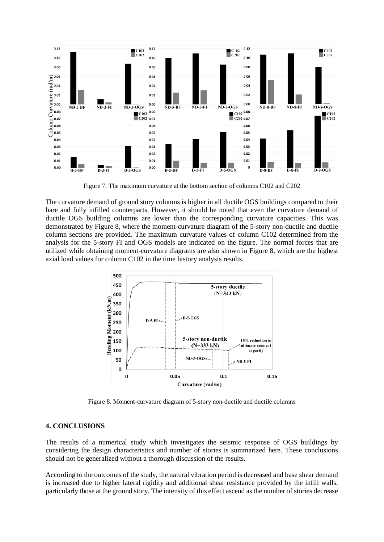

Figure 7. The maximum curvature at the bottom section of columns C102 and C202

The curvature demand of ground story columns is higher in all ductile OGS buildings compared to their bare and fully infilled counterparts. However, it should be noted that even the curvature demand of ductile OGS building columns are lower than the corresponding curvature capacities. This was demonstrated by Figure 8, where the moment-curvature diagram of the 5-story non-ductile and ductile column sections are provided. The maximum curvature values of column C102 determined from the analysis for the 5-story FI and OGS models are indicated on the figure. The normal forces that are utilized while obtaining moment-curvature diagrams are also shown in Figure 8, which are the highest axial load values for column C102 in the time history analysis results.



Figure 8. Moment-curvature diagram of 5-story non-ductile and ductile columns

#### **4. CONCLUSIONS**

The results of a numerical study which investigates the seismic response of OGS buildings by considering the design characteristics and number of stories is summarized here. These conclusions should not be generalized without a thorough discussion of the results.

According to the outcomes of the study, the natural vibration period is decreased and base shear demand is increased due to higher lateral rigidity and additional shear resistance provided by the infill walls, particularly those at the ground story. The intensity of this effect ascend as the number of stories decrease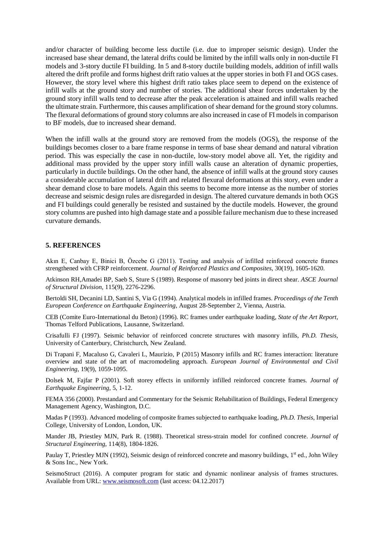and/or character of building become less ductile (i.e. due to improper seismic design). Under the increased base shear demand, the lateral drifts could be limited by the infill walls only in non-ductile FI models and 3-story ductile FI building. In 5 and 8-story ductile building models, addition of infill walls altered the drift profile and forms highest drift ratio values at the upper stories in both FI and OGS cases. However, the story level where this highest drift ratio takes place seem to depend on the existence of infill walls at the ground story and number of stories. The additional shear forces undertaken by the ground story infill walls tend to decrease after the peak acceleration is attained and infill walls reached the ultimate strain. Furthermore, this causes amplification of shear demand for the ground story columns. The flexural deformations of ground story columns are also increased in case of FI models in comparison to BF models, due to increased shear demand.

When the infill walls at the ground story are removed from the models (OGS), the response of the buildings becomes closer to a bare frame response in terms of base shear demand and natural vibration period. This was especially the case in non-ductile, low-story model above all. Yet, the rigidity and additional mass provided by the upper story infill walls cause an alteration of dynamic properties, particularly in ductile buildings. On the other hand, the absence of infill walls at the ground story causes a considerable accumulation of lateral drift and related flexural deformations at this story, even under a shear demand close to bare models. Again this seems to become more intense as the number of stories decrease and seismic design rules are disregarded in design. The altered curvature demands in both OGS and FI buildings could generally be resisted and sustained by the ductile models. However, the ground story columns are pushed into high damage state and a possible failure mechanism due to these increased curvature demands.

#### **5. REFERENCES**

Akın E, Canbay E, Binici B, Özcebe G (2011). Testing and analysis of infilled reinforced concrete frames strengthened with CFRP reinforcement. *Journal of Reinforced Plastics and Composites*, 30(19), 1605-1620.

Atkinson RH,Amadei BP, Saeb S, Sture S (1989). Response of masonry bed joints in direct shear. *ASCE Journal of Structural Division*, 115(9), 2276-2296.

Bertoldi SH, Decanini LD, Santini S, Via G (1994). Analytical models in infilled frames. *Proceedings of the Tenth European Conference on Earthquake Engineering*, August 28-September 2, Vienna, Austria.

CEB (Comite Euro-International du Beton) (1996). RC frames under earthquake loading, *State of the Art Report*, Thomas Telford Publications, Lausanne, Switzerland.

Crisafulli FJ (1997). Seismic behavior of reinforced concrete structures with masonry infills, *Ph.D. Thesis*, University of Canterbury, Christchurch, New Zealand.

Di Trapani F, Macaluso G, Cavaleri L, Maurizio, P (2015) Masonry infills and RC frames interaction: literature overview and state of the art of macromodeling approach. *European Journal of Environmental and Civil Engineering*, 19(9), 1059-1095.

Dolsek M, Fajfar P (2001). Soft storey effects in uniformly infilled reinforced concrete frames. *Journal of Earthquake Engineering*, 5, 1-12.

FEMA 356 (2000). Prestandard and Commentary for the Seismic Rehabilitation of Buildings, Federal Emergency Management Agency, Washington, D.C.

Madas P (1993). Advanced modeling of composite frames subjected to earthquake loading, *Ph.D. Thesis*, Imperial College, University of London, London, UK.

Mander JB, Priestley MJN, Park R. (1988). Theoretical stress-strain model for confined concrete. *Journal of Structural Engineering*, 114(8), 1804-1826.

Paulay T, Priestley MJN (1992), Seismic design of reinforced concrete and masonry buildings, 1<sup>st</sup> ed., John Wiley & Sons Inc., New York.

SeismoStruct (2016). A computer program for static and dynamic nonlinear analysis of frames structures. Available from URL: [www.seismosoft.com](http://www.seismosoft.com/) (last access: 04.12.2017)